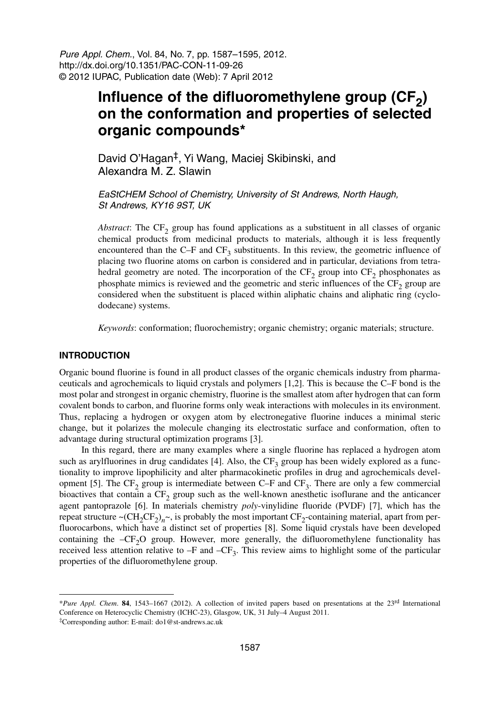Pure Appl. Chem., Vol. 84, No. 7, pp. 1587–1595, 2012. http://dx.doi.org/10.1351/PAC-CON-11-09-26 © 2012 IUPAC, Publication date (Web): 7 April 2012

# Influence of the difluoromethylene group (CF<sub>2</sub>) **on the conformation and properties of selected organic compounds\***

David O'Hagan‡, Yi Wang, Maciej Skibinski, and Alexandra M. Z. Slawin

EaStCHEM School of Chemistry, University of St Andrews, North Haugh, St Andrews, KY16 9ST, UK

*Abstract*: The  $CF_2$  group has found applications as a substituent in all classes of organic chemical products from medicinal products to materials, although it is less frequently encountered than the C–F and  $CF_3$  substituents. In this review, the geometric influence of placing two fluorine atoms on carbon is considered and in particular, deviations from tetrahedral geometry are noted. The incorporation of the  $CF_2$  group into  $CF_2$  phosphonates as phosphate mimics is reviewed and the geometric and steric influences of the  $CF<sub>2</sub>$  group are considered when the substituent is placed within aliphatic chains and aliphatic ring (cyclododecane) systems.

*Keywords*: conformation; fluorochemistry; organic chemistry; organic materials; structure.

## **INTRODUCTION**

Organic bound fluorine is found in all product classes of the organic chemicals industry from pharmaceuticals and agrochemicals to liquid crystals and polymers [1,2]. This is because the C–F bond is the most polar and strongest in organic chemistry, fluorine is the smallest atom after hydrogen that can form covalent bonds to carbon, and fluorine forms only weak interactions with molecules in its environment. Thus, replacing a hydrogen or oxygen atom by electronegative fluorine induces a minimal steric change, but it polarizes the molecule changing its electrostatic surface and conformation, often to advantage during structural optimization programs [3].

In this regard, there are many examples where a single fluorine has replaced a hydrogen atom such as arylfluorines in drug candidates [4]. Also, the  $CF_3$  group has been widely explored as a functionality to improve lipophilicity and alter pharmacokinetic profiles in drug and agrochemicals development [5]. The CF<sub>2</sub> group is intermediate between C–F and CF<sub>3</sub>. There are only a few commercial bioactives that contain a  $CF_2$  group such as the well-known anesthetic isoflurane and the anticancer agent pantoprazole [6]. In materials chemistry *poly*-vinylidine fluoride (PVDF) [7], which has the repeat structure  $\sim$ (CH<sub>2</sub>CF<sub>2</sub>)<sub>n</sub> $\sim$ , is probably the most important CF<sub>2</sub>-containing material, apart from perfluorocarbons, which have a distinct set of properties [8]. Some liquid crystals have been developed containing the  $-CF_2O$  group. However, more generally, the difluoromethylene functionality has received less attention relative to  $-F$  and  $-CF_3$ . This review aims to highlight some of the particular properties of the difluoromethylene group.

<sup>\*</sup>*Pure Appl. Chem*. **84**, 1543–1667 (2012). A collection of invited papers based on presentations at the 23rd International Conference on Heterocyclic Chemistry (ICHC-23), Glasgow, UK, 31 July–4 August 2011.

<sup>‡</sup>Corresponding author: E-mail: do1@st-andrews.ac.uk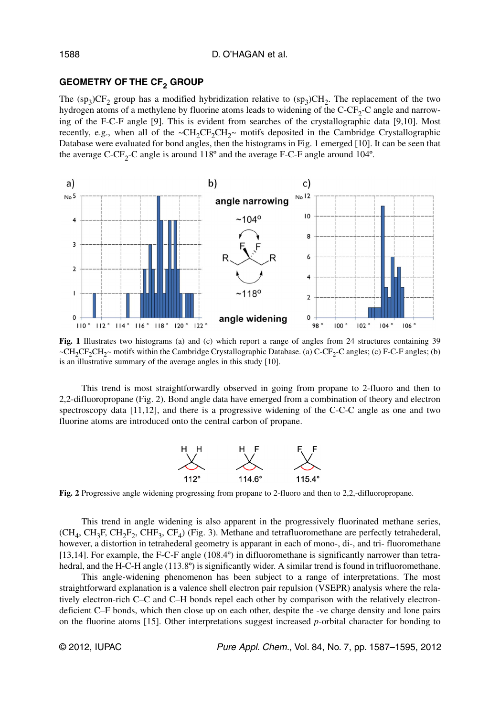# **GEOMETRY OF THE CF2 GROUP**

The  $(sp_3)CF_2$  group has a modified hybridization relative to  $(sp_3)CH_2$ . The replacement of the two hydrogen atoms of a methylene by fluorine atoms leads to widening of the  $C-CF<sub>2</sub>-C$  angle and narrowing of the F-C-F angle [9]. This is evident from searches of the crystallographic data [9,10]. Most recently, e.g., when all of the  $\sim CH_2CF_2CH_2\sim$  motifs deposited in the Cambridge Crystallographic Database were evaluated for bond angles, then the histograms in Fig. 1 emerged [10]. It can be seen that the average C-CF<sub>2</sub>-C angle is around 118 $^{\circ}$  and the average F-C-F angle around 104 $^{\circ}$ .



**Fig. 1** Illustrates two histograms (a) and (c) which report a range of angles from 24 structures containing 39 ~CH<sub>2</sub>CF<sub>2</sub>CH<sub>2</sub>~ motifs within the Cambridge Crystallographic Database. (a) C-CF<sub>2</sub>-C angles; (c) F-C-F angles; (b) is an illustrative summary of the average angles in this study [10].

This trend is most straightforwardly observed in going from propane to 2-fluoro and then to 2,2-difluoropropane (Fig. 2). Bond angle data have emerged from a combination of theory and electron spectroscopy data [11,12], and there is a progressive widening of the C-C-C angle as one and two fluorine atoms are introduced onto the central carbon of propane.



**Fig. 2** Progressive angle widening progressing from propane to 2-fluoro and then to 2,2,-difluoropropane.

This trend in angle widening is also apparent in the progressively fluorinated methane series,  $(CH<sub>4</sub>, CH<sub>3</sub>F, CH<sub>2</sub>F<sub>2</sub>, CHF<sub>3</sub>, CF<sub>4</sub>)$  (Fig. 3). Methane and tetrafluoromethane are perfectly tetrahederal, however, a distortion in tetrahederal geometry is apparant in each of mono-, di-, and tri- fluoromethane [13,14]. For example, the F-C-F angle (108.4º) in difluoromethane is significantly narrower than tetrahedral, and the H-C-H angle (113.8°) is significantly wider. A similar trend is found in trifluoromethane.

This angle-widening phenomenon has been subject to a range of interpretations. The most straightforward explanation is a valence shell electron pair repulsion (VSEPR) analysis where the relatively electron-rich C–C and C–H bonds repel each other by comparison with the relatively electrondeficient C–F bonds, which then close up on each other, despite the -ve charge density and lone pairs on the fluorine atoms [15]. Other interpretations suggest increased *p*-orbital character for bonding to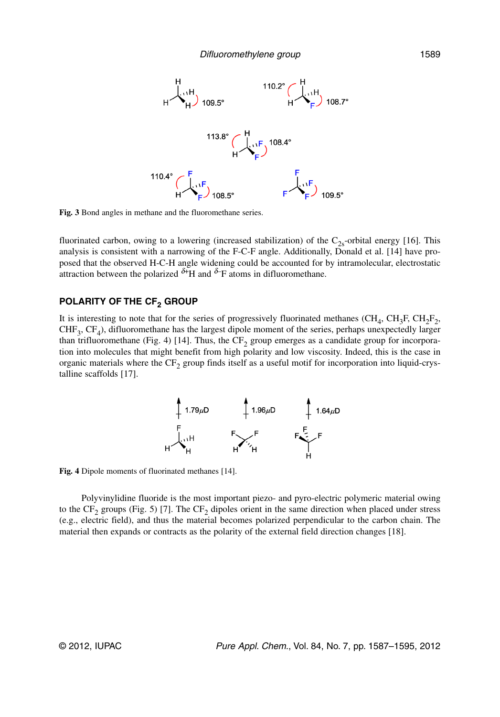

**Fig. 3** Bond angles in methane and the fluoromethane series.

fluorinated carbon, owing to a lowering (increased stabilization) of the  $C_{2s}$ -orbital energy [16]. This analysis is consistent with a narrowing of the F-C-F angle. Additionally, Donald et al. [14] have proposed that the observed H-C-H angle widening could be accounted for by intramolecular, electrostatic attraction between the polarized  $\delta$ +H and  $\delta$ -F atoms in difluoromethane.

# **POLARITY OF THE CF<sub>2</sub> GROUP**

It is interesting to note that for the series of progressively fluorinated methanes (CH<sub>4</sub>, CH<sub>3</sub>F, CH<sub>2</sub>F<sub>2</sub>,  $CHF<sub>3</sub>$ ,  $CF<sub>4</sub>$ ), difluoromethane has the largest dipole moment of the series, perhaps unexpectedly larger than trifluoromethane (Fig. 4) [14]. Thus, the  $CF_2$  group emerges as a candidate group for incorporation into molecules that might benefit from high polarity and low viscosity. Indeed, this is the case in organic materials where the  $CF_2$  group finds itself as a useful motif for incorporation into liquid-crystalline scaffolds [17].



**Fig. 4** Dipole moments of fluorinated methanes [14].

Polyvinylidine fluoride is the most important piezo- and pyro-electric polymeric material owing to the CF<sub>2</sub> groups (Fig. 5) [7]. The CF<sub>2</sub> dipoles orient in the same direction when placed under stress (e.g., electric field), and thus the material becomes polarized perpendicular to the carbon chain. The material then expands or contracts as the polarity of the external field direction changes [18].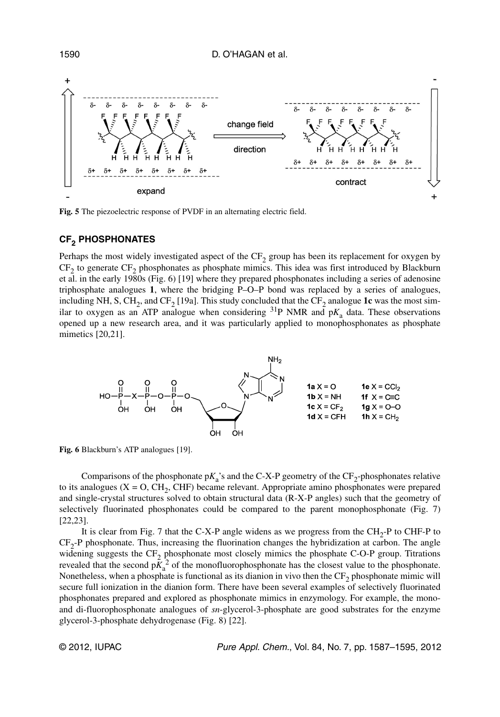D. O'HAGAN et al.



**Fig. 5** The piezoelectric response of PVDF in an alternating electric field.

# **CF2 PHOSPHONATES**

Perhaps the most widely investigated aspect of the  $CF<sub>2</sub>$  group has been its replacement for oxygen by  $CF_2$  to generate  $CF_2$  phosphonates as phosphate mimics. This idea was first introduced by Blackburn et al. in the early 1980s (Fig. 6) [19] where they prepared phosphonates including a series of adenosine triphosphate analogues **1**, where the bridging P–O–P bond was replaced by a series of analogues, including NH, S, CH<sub>2</sub>, and CF<sub>2</sub> [19a]. This study concluded that the CF<sub>2</sub> analogue 1c was the most similar to oxygen as an ATP analogue when considering  ${}^{31}P$  NMR and  $pK_a$  data. These observations opened up a new research area, and it was particularly applied to monophosphonates as phosphate mimetics [20,21].



**Fig. 6** Blackburn's ATP analogues [19].

Comparisons of the phosphonate  $pK_a$ 's and the C-X-P geometry of the  $CF_2$ -phosphonates relative to its analogues  $(X = O, CH<sub>2</sub>, CHF)$  became relevant. Appropriate amino phosphonates were prepared and single-crystal structures solved to obtain structural data (R-X-P angles) such that the geometry of selectively fluorinated phosphonates could be compared to the parent monophosphonate (Fig. 7) [22,23].

It is clear from Fig. 7 that the C-X-P angle widens as we progress from the  $CH<sub>2</sub>$ -P to CHF-P to  $CF<sub>2</sub>-P$  phosphonate. Thus, increasing the fluorination changes the hybridization at carbon. The angle widening suggests the  $CF_2$  phosphonate most closely mimics the phosphate C-O-P group. Titrations revealed that the second  $p\tilde{K}_a^2$  of the monofluorophosphonate has the closest value to the phosphonate. Nonetheless, when a phosphate is functional as its dianion in vivo then the  $CF<sub>2</sub>$  phosphonate mimic will secure full ionization in the dianion form. There have been several examples of selectively fluorinated phosphonates prepared and explored as phosphonate mimics in enzymology. For example, the monoand di-fluorophosphonate analogues of *sn*-glycerol-3-phosphate are good substrates for the enzyme glycerol-3-phosphate dehydrogenase (Fig. 8) [22].

© 2012, IUPAC Pure Appl. Chem., Vol. 84, No. 7, pp. 1587–1595, 2012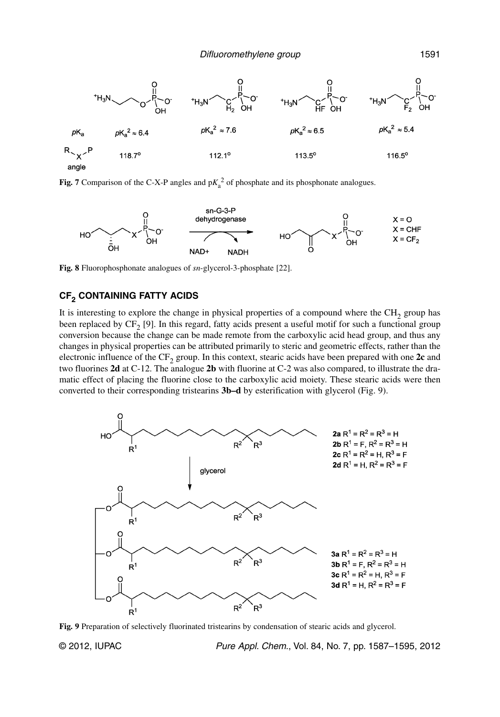

**Fig. 7** Comparison of the C-X-P angles and  $pK_a^2$  of phosphate and its phosphonate analogues.



**Fig. 8** Fluorophosphonate analogues of *sn*-glycerol-3-phosphate [22].

# **CF2 CONTAINING FATTY ACIDS**

It is interesting to explore the change in physical properties of a compound where the  $CH<sub>2</sub>$  group has been replaced by  $CF_2$  [9]. In this regard, fatty acids present a useful motif for such a functional group conversion because the change can be made remote from the carboxylic acid head group, and thus any changes in physical properties can be attributed primarily to steric and geometric effects, rather than the electronic influence of the  $CF_2$  group. In this context, stearic acids have been prepared with one  $2c$  and two fluorines **2d** at C-12. The analogue **2b** with fluorine at C-2 was also compared, to illustrate the dramatic effect of placing the fluorine close to the carboxylic acid moiety. These stearic acids were then converted to their corresponding tristearins **3b–d** by esterification with glycerol (Fig. 9).



**Fig. 9** Preparation of selectively fluorinated tristearins by condensation of stearic acids and glycerol.

© 2012, IUPAC **Pure Appl. Chem., Vol. 84, No. 7, pp. 1587–1595**, 2012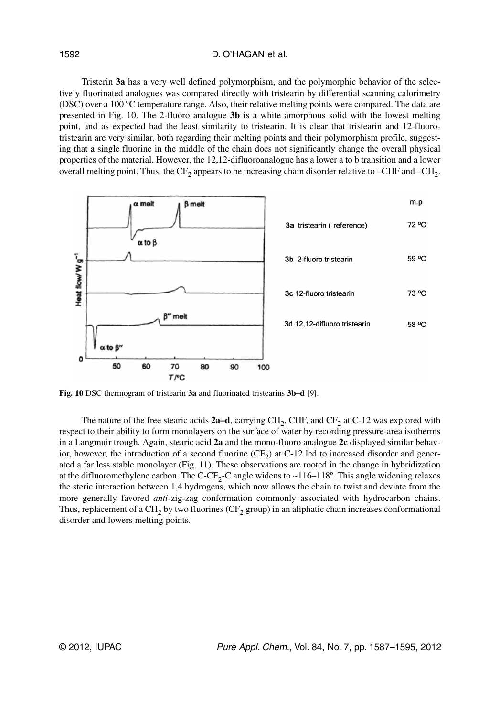#### D. O'HAGAN et al.

Tristerin **3a** has a very well defined polymorphism, and the polymorphic behavior of the selectively fluorinated analogues was compared directly with tristearin by differential scanning calorimetry (DSC) over a 100 °C temperature range. Also, their relative melting points were compared. The data are presented in Fig. 10. The 2-fluoro analogue **3b** is a white amorphous solid with the lowest melting point, and as expected had the least similarity to tristearin. It is clear that tristearin and 12-fluorotristearin are very similar, both regarding their melting points and their polymorphism profile, suggesting that a single fluorine in the middle of the chain does not significantly change the overall physical properties of the material. However, the 12,12-difluoroanalogue has a lower a to b transition and a lower overall melting point. Thus, the  $CF_2$  appears to be increasing chain disorder relative to –CHF and –CH<sub>2</sub>.



**Fig. 10** DSC thermogram of tristearin **3a** and fluorinated tristearins **3b–d** [9].

The nature of the free stearic acids **2a–d**, carrying CH<sub>2</sub>, CHF, and CF<sub>2</sub> at C-12 was explored with respect to their ability to form monolayers on the surface of water by recording pressure-area isotherms in a Langmuir trough. Again, stearic acid **2a** and the mono-fluoro analogue **2c** displayed similar behavior, however, the introduction of a second fluorine  $(CF_2)$  at C-12 led to increased disorder and generated a far less stable monolayer (Fig. 11). These observations are rooted in the change in hybridization at the difluoromethylene carbon. The C-CF<sub>2</sub>-C angle widens to ~116–118°. This angle widening relaxes the steric interaction between 1,4 hydrogens, which now allows the chain to twist and deviate from the more generally favored *anti-*zig-zag conformation commonly associated with hydrocarbon chains. Thus, replacement of a  $CH_2$  by two fluorines (CF<sub>2</sub> group) in an aliphatic chain increases conformational disorder and lowers melting points.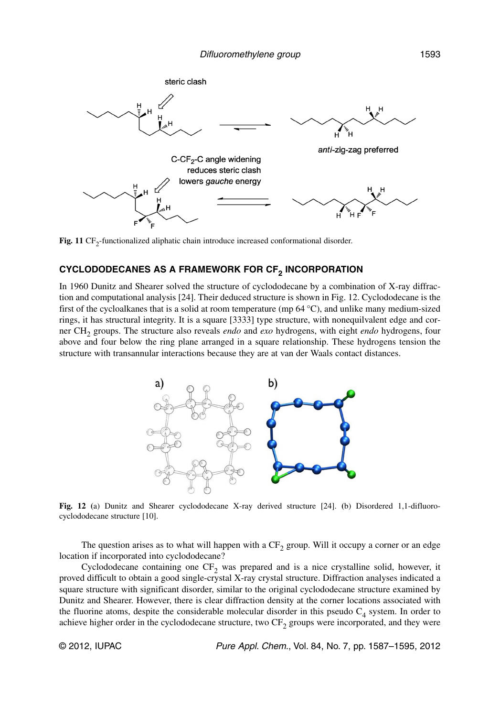

**Fig. 11**  $CF_2$ -functionalized aliphatic chain introduce increased conformational disorder.

# **CYCLODODECANES AS A FRAMEWORK FOR CF2 INCORPORATION**

In 1960 Dunitz and Shearer solved the structure of cyclododecane by a combination of X-ray diffraction and computational analysis [24]. Their deduced structure is shown in Fig. 12. Cyclododecane is the first of the cycloalkanes that is a solid at room temperature (mp 64 °C), and unlike many medium-sized rings, it has structural integrity. It is a square [3333] type structure, with nonequilvalent edge and corner CH2 groups. The structure also reveals *endo* and *exo* hydrogens, with eight *endo* hydrogens, four above and four below the ring plane arranged in a square relationship. These hydrogens tension the structure with transannular interactions because they are at van der Waals contact distances.



**Fig. 12 (**a) Dunitz and Shearer cyclododecane X-ray derived structure [24]. **(**b) Disordered 1,1-difluoro cyclododecane structure [10].

The question arises as to what will happen with a  $CF<sub>2</sub>$  group. Will it occupy a corner or an edge location if incorporated into cyclododecane?

Cyclododecane containing one  $CF_2$  was prepared and is a nice crystalline solid, however, it proved difficult to obtain a good single-crystal X-ray crystal structure. Diffraction analyses indicated a square structure with significant disorder, similar to the original cyclododecane structure examined by Dunitz and Shearer. However, there is clear diffraction density at the corner locations associated with the fluorine atoms, despite the considerable molecular disorder in this pseudo  $C_4$  system. In order to achieve higher order in the cyclododecane structure, two  $CF_2$  groups were incorporated, and they were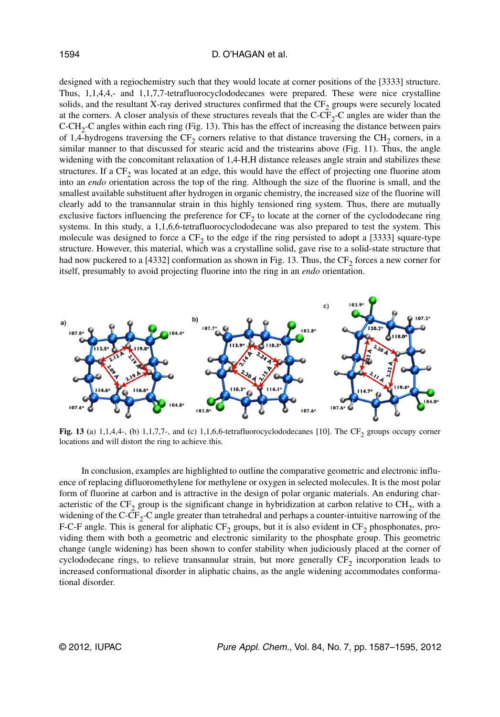#### D. O'HAGAN et al.

designed with a regiochemistry such that they would locate at corner positions of the [3333] structure. Thus, 1,1,4,4,- and 1,1,7,7-tetrafluorocyclododecanes were prepared. These were nice crystalline solids, and the resultant X-ray derived structures confirmed that the CF<sub>2</sub> groups were securely located at the corners. A closer analysis of these structures reveals that the  $C-CF_2-C$  angles are wider than the  $C\text{-}CH_2\text{-}C$  angles within each ring (Fig. 13). This has the effect of increasing the distance between pairs of 1,4-hydrogens traversing the  $CF_2$  corners relative to that distance traversing the  $CH_2$  corners, in a similar manner to that discussed for stearic acid and the tristearins above (Fig. 11). Thus, the angle widening with the concomitant relaxation of 1,4-H,H distance releases angle strain and stabilizes these structures. If a  $CF<sub>2</sub>$  was located at an edge, this would have the effect of projecting one fluorine atom into an *endo* orientation across the top of the ring. Although the size of the fluorine is small, and the smallest available substituent after hydrogen in organic chemistry, the increased size of the fluorine will clearly add to the transannular strain in this highly tensioned ring system. Thus, there are mutually exclusive factors influencing the preference for  $CF<sub>2</sub>$  to locate at the corner of the cyclododecane ring systems. In this study, a 1,1,6,6-tetrafluorocyclododecane was also prepared to test the system. This molecule was designed to force a  $CF<sub>2</sub>$  to the edge if the ring persisted to adopt a [3333] square-type structure. However, this material, which was a crystalline solid, gave rise to a solid-state structure that had now puckered to a [4332] conformation as shown in Fig. 13. Thus, the  $CF<sub>2</sub>$  forces a new corner for itself, presumably to avoid projecting fluorine into the ring in an *endo* orientation.



**Fig. 13** (a)  $1,1,4,4$ -, (b)  $1,1,7,7$ -, and (c)  $1,1,6,6$ -tetrafluorocyclododecanes [10]. The CF<sub>2</sub> groups occupy corner locations and will distort the ring to achieve this.

In conclusion, examples are highlighted to outline the comparative geometric and electronic influence of replacing difluoromethylene for methylene or oxygen in selected molecules. It is the most polar form of fluorine at carbon and is attractive in the design of polar organic materials. An enduring characteristic of the  $CF_2$  group is the significant change in hybridization at carbon relative to  $CH_2$ , with a widening of the  $C-CF_2-C$  angle greater than tetrahedral and perhaps a counter-intuitive narrowing of the F-C-F angle. This is general for aliphatic  $CF_2$  groups, but it is also evident in  $CF_2$  phosphonates, providing them with both a geometric and electronic similarity to the phosphate group. This geometric change (angle widening) has been shown to confer stability when judiciously placed at the corner of cyclododecane rings, to relieve transannular strain, but more generally  $CF<sub>2</sub>$  incorporation leads to increased conformational disorder in aliphatic chains, as the angle widening accommodates conformational disorder.